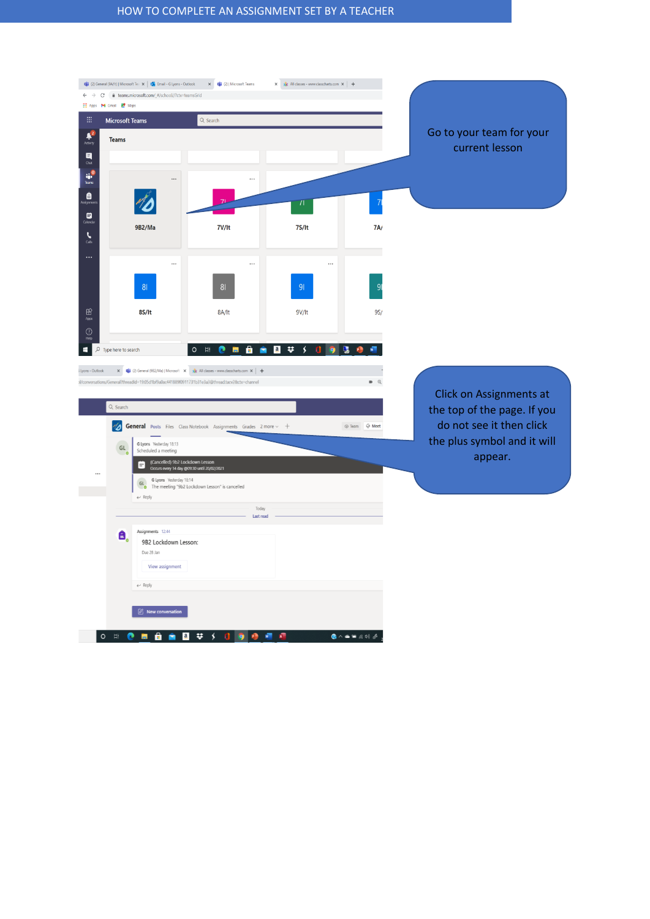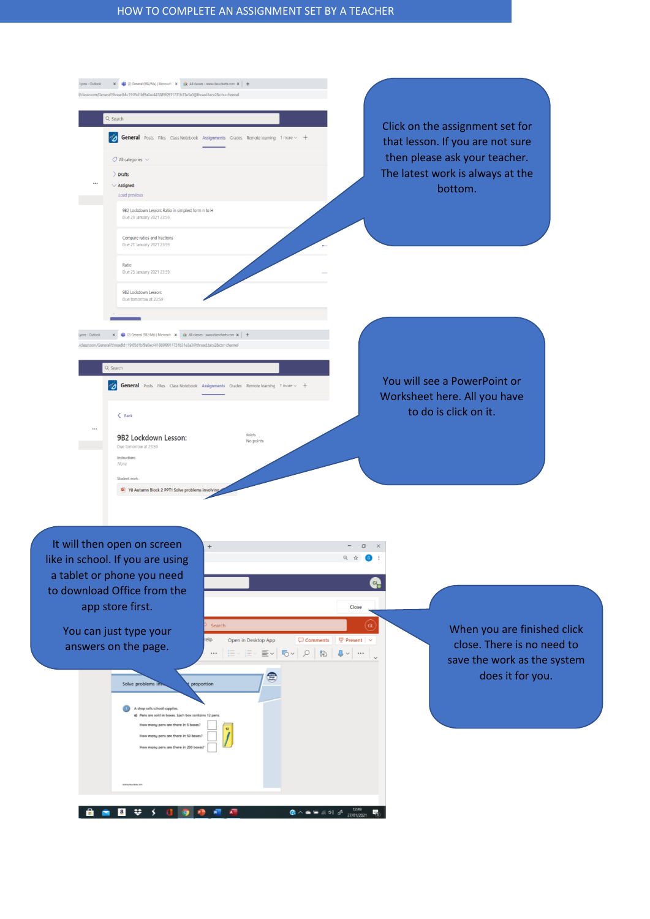